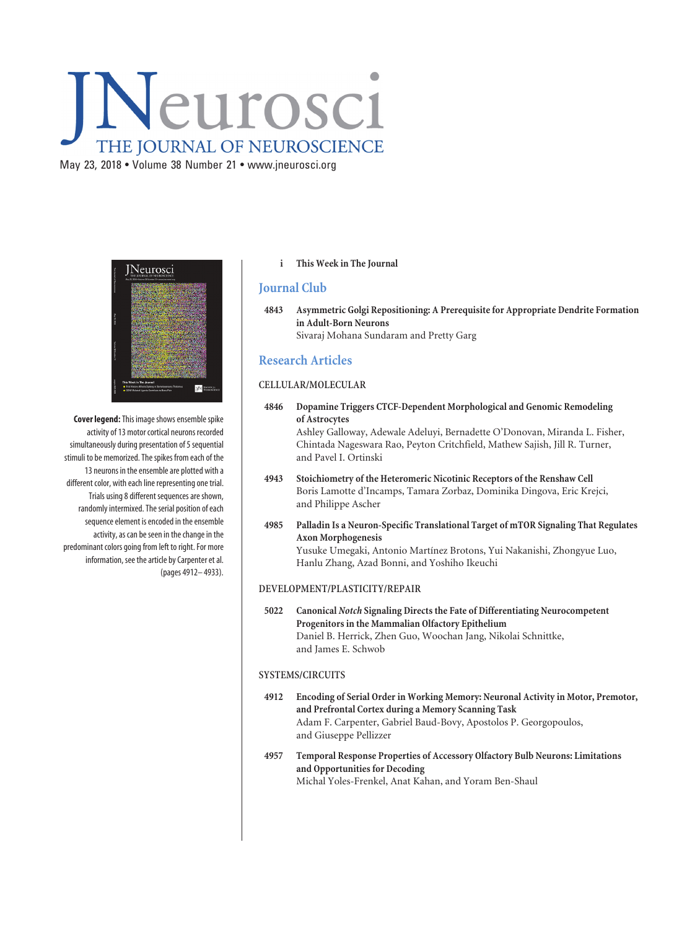# Neurosci THE JOURNAL OF NEUROSCIENCE

May 23, 2018 • Volume 38 Number 21 • www.jneurosci.org



**Cover legend:**This image shows ensemble spike activity of 13 motor cortical neurons recorded simultaneously during presentation of 5 sequential stimuli to be memorized. The spikes from each of the 13 neurons in the ensemble are plotted with a different color, with each line representing one trial. Trials using 8 different sequences are shown, randomly intermixed. The serial position of each sequence element is encoded in the ensemble activity, as can be seen in the change in the predominant colors going from left to right. For more information, see the article by Carpenter et al. (pages 4912– 4933).

## **i This Week in The Journal**

## **Journal Club**

**4843 Asymmetric Golgi Repositioning: A Prerequisite for Appropriate Dendrite Formation in Adult-Born Neurons** Sivaraj Mohana Sundaram and Pretty Garg

# **Research Articles**

## **CELLULAR/MOLECULAR**

**4846 Dopamine Triggers CTCF-Dependent Morphological and Genomic Remodeling of Astrocytes** Ashley Galloway, Adewale Adeluyi, Bernadette O'Donovan, Miranda L. Fisher,

Chintada Nageswara Rao, Peyton Critchfield, Mathew Sajish, Jill R. Turner, and Pavel I. Ortinski

- **4943 Stoichiometry of the Heteromeric Nicotinic Receptors of the Renshaw Cell** Boris Lamotte d'Incamps, Tamara Zorbaz, Dominika Dingova, Eric Krejci, and Philippe Ascher
- **4985 Palladin Is a Neuron-Specific Translational Target of mTOR Signaling That Regulates Axon Morphogenesis** Yusuke Umegaki, Antonio Martínez Brotons, Yui Nakanishi, Zhongyue Luo, Hanlu Zhang, Azad Bonni, and Yoshiho Ikeuchi

#### **DEVELOPMENT/PLASTICITY/REPAIR**

**5022 Canonical** *Notch* **Signaling Directs the Fate of Differentiating Neurocompetent Progenitors in the Mammalian Olfactory Epithelium** Daniel B. Herrick, Zhen Guo, Woochan Jang, Nikolai Schnittke, and James E. Schwob

#### **SYSTEMS/CIRCUITS**

- **4912 Encoding of Serial Order in Working Memory: Neuronal Activity in Motor, Premotor, and Prefrontal Cortex during a Memory Scanning Task** Adam F. Carpenter, Gabriel Baud-Bovy, Apostolos P. Georgopoulos, and Giuseppe Pellizzer
- **4957 Temporal Response Properties of Accessory Olfactory Bulb Neurons: Limitations and Opportunities for Decoding** Michal Yoles-Frenkel, Anat Kahan, and Yoram Ben-Shaul